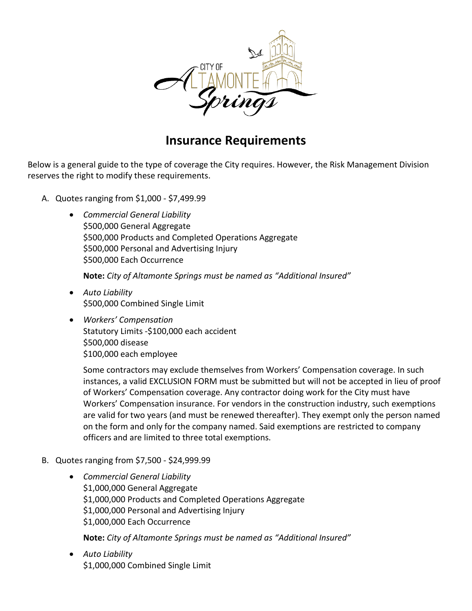

## **Insurance Requirements**

 Below is a general guide to the type of coverage the City requires. However, the Risk Management Division reserves the right to modify these requirements.

- A. Quotes ranging from \$1,000 \$[7,499.99](https://7,499.99)
	- • *Commercial General Liability* \$500,000 General Aggregate \$500,000 Products and Completed Operations Aggregate \$500,000 Personal and Advertising Injury \$500,000 Each Occurrence

**Note:** *City of Altamonte Springs must be named as "Additional Insured"* 

- • *Auto Liability* \$500,000 Combined Single Limit
- • *Workers' Compensation* Statutory Limits -\$100,000 each accident \$500,000 disease \$100,000 each employee

 on the form and only for the company named. Said exemptions are restricted to company Some contractors may exclude themselves from Workers' Compensation coverage. In such instances, a valid EXCLUSION FORM must be submitted but will not be accepted in lieu of proof of Workers' Compensation coverage. Any contractor doing work for the City must have Workers' Compensation insurance. For vendors in the construction industry, such exemptions are valid for two years (and must be renewed thereafter). They exempt only the person named officers and are limited to three total exemptions.

- B. Quotes ranging from \$7,500 \$[24,999.99](https://24,999.99)
	- • *Commercial General Liability*  \$1,000,000 Products and Completed Operations Aggregate \$1,000,000 General Aggregate \$1,000,000 Personal and Advertising Injury \$1,000,000 Each Occurrence

**Note:** *City of Altamonte Springs must be named as "Additional Insured"* 

 • *Auto Liability* \$1,000,000 Combined Single Limit